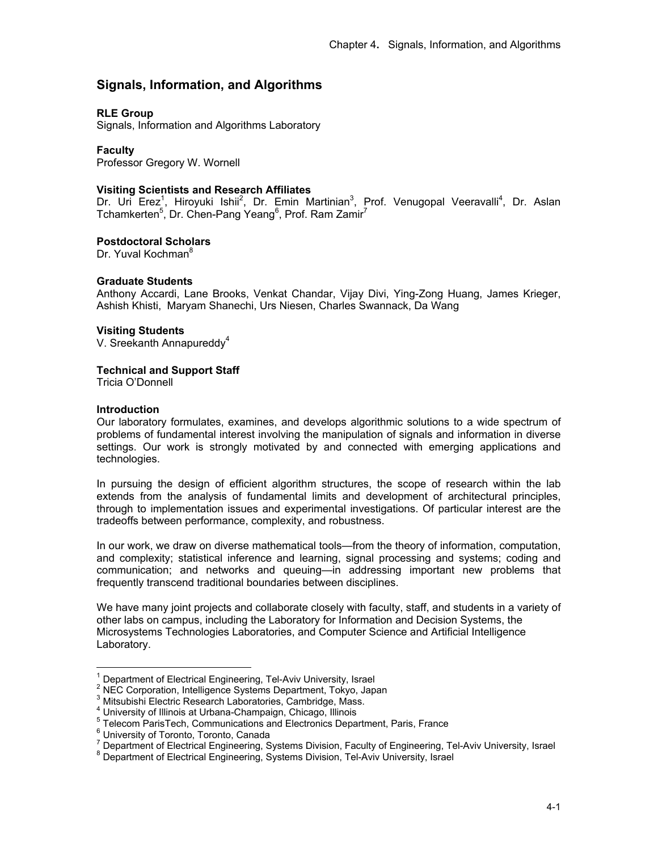# **Signals, Information, and Algorithms**

## **RLE Group**

Signals, Information and Algorithms Laboratory

## **Faculty**

Professor Gregory W. Wornell

## **Visiting Scientists and Research Affiliates**

Dr. Uri Erez<sup>1</sup>, Hiroyuki Ishii<sup>2</sup>, Dr. Emin Martinian<sup>3</sup>, Prof. Venugopal Veeravalli<sup>4</sup>, Dr. Aslan Tchamkerten<sup>5</sup>, Dr. Chen-Pang Yeang<sup>6</sup>, Prof. Ram Zamir<sup>7</sup>

## **Postdoctoral Scholars**

Dr. Yuval Kochman<sup>8</sup>

## **Graduate Students**

Anthony Accardi, Lane Brooks, Venkat Chandar, Vijay Divi, Ying-Zong Huang, James Krieger, Ashish Khisti, Maryam Shanechi, Urs Niesen, Charles Swannack, Da Wang

#### **Visiting Students**

V. Sreekanth Annapureddv<sup>4</sup>

## **Technical and Support Staff**

Tricia O'Donnell

#### **Introduction**

 $\overline{a}$ 

Our laboratory formulates, examines, and develops algorithmic solutions to a wide spectrum of problems of fundamental interest involving the manipulation of signals and information in diverse settings. Our work is strongly motivated by and connected with emerging applications and technologies.

In pursuing the design of efficient algorithm structures, the scope of research within the lab extends from the analysis of fundamental limits and development of architectural principles, through to implementation issues and experimental investigations. Of particular interest are the tradeoffs between performance, complexity, and robustness.

In our work, we draw on diverse mathematical tools—from the theory of information, computation, and complexity; statistical inference and learning, signal processing and systems; coding and communication; and networks and queuing—in addressing important new problems that frequently transcend traditional boundaries between disciplines.

We have many joint projects and collaborate closely with faculty, staff, and students in a variety of other labs on campus, including the Laboratory for Information and Decision Systems, the Microsystems Technologies Laboratories, and Computer Science and Artificial Intelligence Laboratory.

<sup>1</sup> Department of Electrical Engineering, Tel-Aviv University, Israel

<sup>&</sup>lt;sup>2</sup> NEC Corporation, Intelligence Systems Department, Tokyo, Japan

 $3$  Mitsubishi Electric Research Laboratories, Cambridge, Mass.

<sup>&</sup>lt;sup>4</sup> University of Illinois at Urbana-Champaign, Chicago, Illinois<br><sup>5</sup> Telesem PerisTech, Communications and Electronics Depart

<sup>&</sup>lt;sup>5</sup> Telecom ParisTech, Communications and Electronics Department, Paris, France

<sup>6</sup> University of Toronto, Toronto, Canada

<sup>&</sup>lt;sup>7</sup> Department of Electrical Engineering, Systems Division, Faculty of Engineering, Tel-Aviv University, Israel<br><sup>8</sup> Department of Electrical Engineering, Systems Division, Tel Aviv University, Israel

Department of Electrical Engineering, Systems Division, Tel-Aviv University, Israel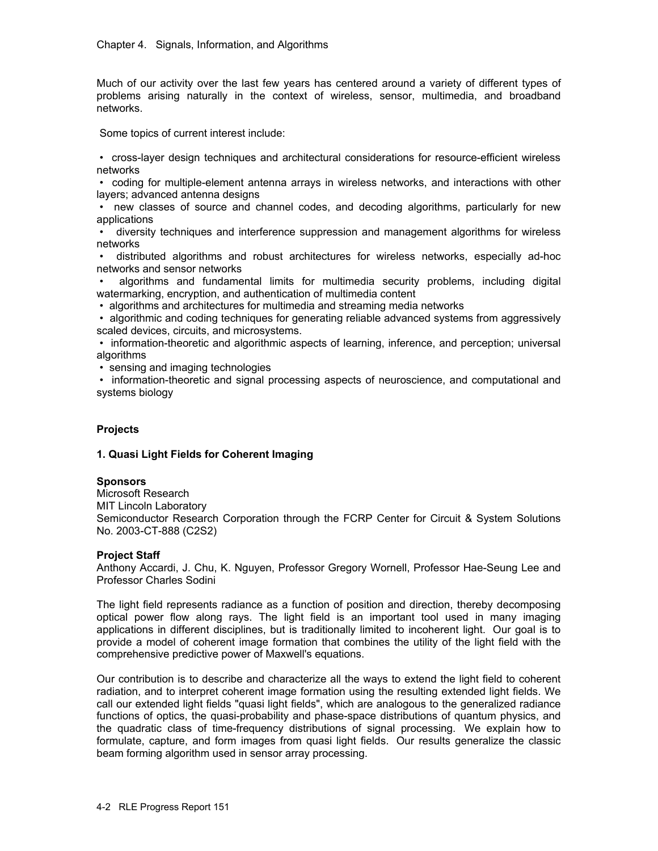Much of our activity over the last few years has centered around a variety of different types of problems arising naturally in the context of wireless, sensor, multimedia, and broadband networks.

Some topics of current interest include:

 • cross-layer design techniques and architectural considerations for resource-efficient wireless networks

 • coding for multiple-element antenna arrays in wireless networks, and interactions with other layers; advanced antenna designs

 • new classes of source and channel codes, and decoding algorithms, particularly for new applications

 • diversity techniques and interference suppression and management algorithms for wireless networks

 • distributed algorithms and robust architectures for wireless networks, especially ad-hoc networks and sensor networks

 • algorithms and fundamental limits for multimedia security problems, including digital watermarking, encryption, and authentication of multimedia content

• algorithms and architectures for multimedia and streaming media networks

 • algorithmic and coding techniques for generating reliable advanced systems from aggressively scaled devices, circuits, and microsystems.

 • information-theoretic and algorithmic aspects of learning, inference, and perception; universal algorithms

• sensing and imaging technologies

 • information-theoretic and signal processing aspects of neuroscience, and computational and systems biology

## **Projects**

## **1. Quasi Light Fields for Coherent Imaging**

#### **Sponsors**

Microsoft Research MIT Lincoln Laboratory Semiconductor Research Corporation through the FCRP Center for Circuit & System Solutions No. 2003-CT-888 (C2S2)

#### **Project Staff**

Anthony Accardi, J. Chu, K. Nguyen, Professor Gregory Wornell, Professor Hae-Seung Lee and Professor Charles Sodini

The light field represents radiance as a function of position and direction, thereby decomposing optical power flow along rays. The light field is an important tool used in many imaging applications in different disciplines, but is traditionally limited to incoherent light. Our goal is to provide a model of coherent image formation that combines the utility of the light field with the comprehensive predictive power of Maxwell's equations.

Our contribution is to describe and characterize all the ways to extend the light field to coherent radiation, and to interpret coherent image formation using the resulting extended light fields. We call our extended light fields "quasi light fields", which are analogous to the generalized radiance functions of optics, the quasi-probability and phase-space distributions of quantum physics, and the quadratic class of time-frequency distributions of signal processing. We explain how to formulate, capture, and form images from quasi light fields. Our results generalize the classic beam forming algorithm used in sensor array processing.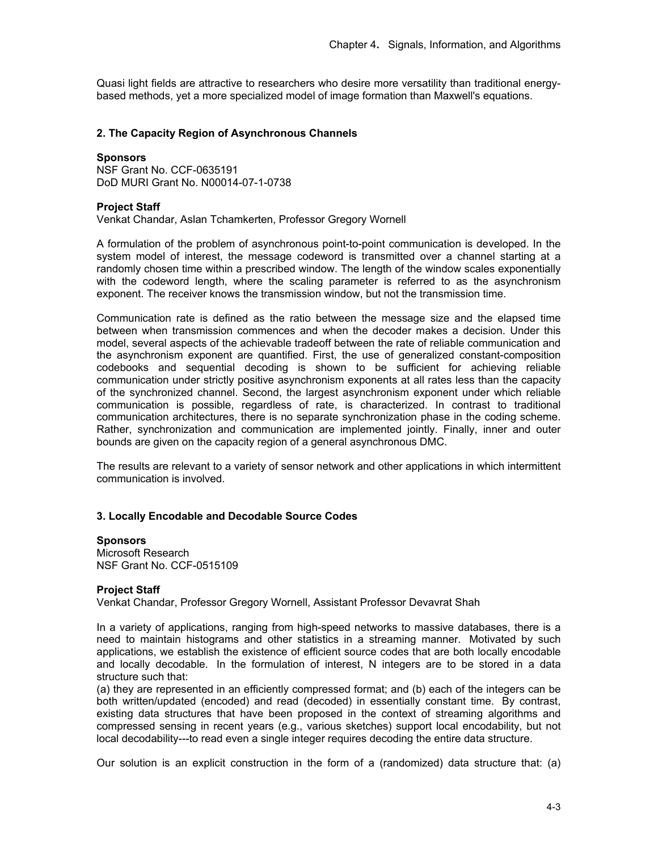Quasi light fields are attractive to researchers who desire more versatility than traditional energybased methods, yet a more specialized model of image formation than Maxwell's equations.

#### **2. The Capacity Region of Asynchronous Channels**

#### **Sponsors**

NSF Grant No. CCF-0635191 DoD MURI Grant No. N00014-07-1-0738

#### **Project Staff**

Venkat Chandar, Aslan Tchamkerten, Professor Gregory Wornell

A formulation of the problem of asynchronous point-to-point communication is developed. In the system model of interest, the message codeword is transmitted over a channel starting at a randomly chosen time within a prescribed window. The length of the window scales exponentially with the codeword length, where the scaling parameter is referred to as the asynchronism exponent. The receiver knows the transmission window, but not the transmission time.

Communication rate is defined as the ratio between the message size and the elapsed time between when transmission commences and when the decoder makes a decision. Under this model, several aspects of the achievable tradeoff between the rate of reliable communication and the asynchronism exponent are quantified. First, the use of generalized constant-composition codebooks and sequential decoding is shown to be sufficient for achieving reliable communication under strictly positive asynchronism exponents at all rates less than the capacity of the synchronized channel. Second, the largest asynchronism exponent under which reliable communication is possible, regardless of rate, is characterized. In contrast to traditional communication architectures, there is no separate synchronization phase in the coding scheme. Rather, synchronization and communication are implemented jointly. Finally, inner and outer bounds are given on the capacity region of a general asynchronous DMC.

The results are relevant to a variety of sensor network and other applications in which intermittent communication is involved.

#### **3. Locally Encodable and Decodable Source Codes**

**Sponsors**  Microsoft Research NSF Grant No. CCF-0515109

#### **Project Staff**

Venkat Chandar, Professor Gregory Wornell, Assistant Professor Devavrat Shah

In a variety of applications, ranging from high-speed networks to massive databases, there is a need to maintain histograms and other statistics in a streaming manner. Motivated by such applications, we establish the existence of efficient source codes that are both locally encodable and locally decodable. In the formulation of interest, N integers are to be stored in a data structure such that:

(a) they are represented in an efficiently compressed format; and (b) each of the integers can be both written/updated (encoded) and read (decoded) in essentially constant time. By contrast, existing data structures that have been proposed in the context of streaming algorithms and compressed sensing in recent years (e.g., various sketches) support local encodability, but not local decodability---to read even a single integer requires decoding the entire data structure.

Our solution is an explicit construction in the form of a (randomized) data structure that: (a)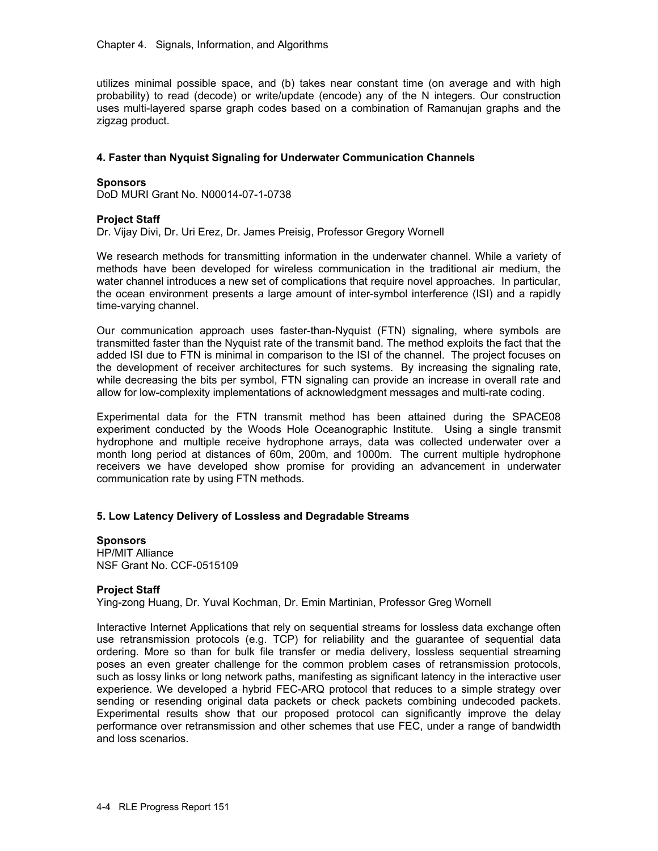utilizes minimal possible space, and (b) takes near constant time (on average and with high probability) to read (decode) or write/update (encode) any of the N integers. Our construction uses multi-layered sparse graph codes based on a combination of Ramanujan graphs and the zigzag product.

## **4. Faster than Nyquist Signaling for Underwater Communication Channels**

#### **Sponsors**

DoD MURI Grant No. N00014-07-1-0738

#### **Project Staff**

Dr. Vijay Divi, Dr. Uri Erez, Dr. James Preisig, Professor Gregory Wornell

We research methods for transmitting information in the underwater channel. While a variety of methods have been developed for wireless communication in the traditional air medium, the water channel introduces a new set of complications that require novel approaches. In particular, the ocean environment presents a large amount of inter-symbol interference (ISI) and a rapidly time-varying channel.

Our communication approach uses faster-than-Nyquist (FTN) signaling, where symbols are transmitted faster than the Nyquist rate of the transmit band. The method exploits the fact that the added ISI due to FTN is minimal in comparison to the ISI of the channel. The project focuses on the development of receiver architectures for such systems. By increasing the signaling rate, while decreasing the bits per symbol, FTN signaling can provide an increase in overall rate and allow for low-complexity implementations of acknowledgment messages and multi-rate coding.

Experimental data for the FTN transmit method has been attained during the SPACE08 experiment conducted by the Woods Hole Oceanographic Institute. Using a single transmit hydrophone and multiple receive hydrophone arrays, data was collected underwater over a month long period at distances of 60m, 200m, and 1000m. The current multiple hydrophone receivers we have developed show promise for providing an advancement in underwater communication rate by using FTN methods.

## **5. Low Latency Delivery of Lossless and Degradable Streams**

**Sponsors**  HP/MIT Alliance NSF Grant No. CCF-0515109

## **Project Staff**

Ying-zong Huang, Dr. Yuval Kochman, Dr. Emin Martinian, Professor Greg Wornell

Interactive Internet Applications that rely on sequential streams for lossless data exchange often use retransmission protocols (e.g. TCP) for reliability and the guarantee of sequential data ordering. More so than for bulk file transfer or media delivery, lossless sequential streaming poses an even greater challenge for the common problem cases of retransmission protocols, such as lossy links or long network paths, manifesting as significant latency in the interactive user experience. We developed a hybrid FEC-ARQ protocol that reduces to a simple strategy over sending or resending original data packets or check packets combining undecoded packets. Experimental results show that our proposed protocol can significantly improve the delay performance over retransmission and other schemes that use FEC, under a range of bandwidth and loss scenarios.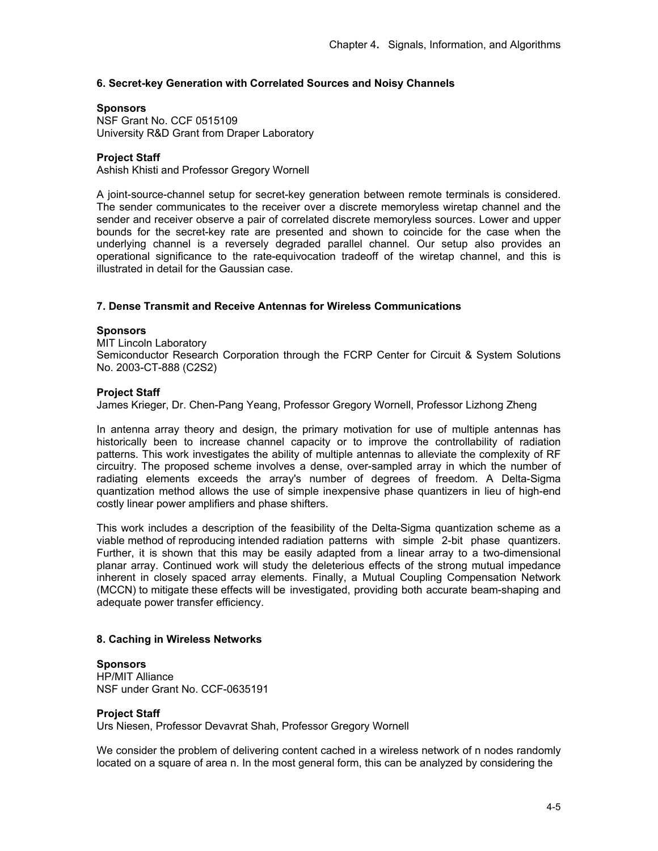## **6. Secret-key Generation with Correlated Sources and Noisy Channels**

## **Sponsors**

NSF Grant No. CCF 0515109 University R&D Grant from Draper Laboratory

## **Project Staff**

Ashish Khisti and Professor Gregory Wornell

A joint-source-channel setup for secret-key generation between remote terminals is considered. The sender communicates to the receiver over a discrete memoryless wiretap channel and the sender and receiver observe a pair of correlated discrete memoryless sources. Lower and upper bounds for the secret-key rate are presented and shown to coincide for the case when the underlying channel is a reversely degraded parallel channel. Our setup also provides an operational significance to the rate-equivocation tradeoff of the wiretap channel, and this is illustrated in detail for the Gaussian case.

## **7. Dense Transmit and Receive Antennas for Wireless Communications**

## **Sponsors**

MIT Lincoln Laboratory Semiconductor Research Corporation through the FCRP Center for Circuit & System Solutions No. 2003-CT-888 (C2S2)

## **Project Staff**

James Krieger, Dr. Chen-Pang Yeang, Professor Gregory Wornell, Professor Lizhong Zheng

In antenna array theory and design, the primary motivation for use of multiple antennas has historically been to increase channel capacity or to improve the controllability of radiation patterns. This work investigates the ability of multiple antennas to alleviate the complexity of RF circuitry. The proposed scheme involves a dense, over-sampled array in which the number of radiating elements exceeds the array's number of degrees of freedom. A Delta-Sigma quantization method allows the use of simple inexpensive phase quantizers in lieu of high-end costly linear power amplifiers and phase shifters.

This work includes a description of the feasibility of the Delta-Sigma quantization scheme as a viable method of reproducing intended radiation patterns with simple 2-bit phase quantizers. Further, it is shown that this may be easily adapted from a linear array to a two-dimensional planar array. Continued work will study the deleterious effects of the strong mutual impedance inherent in closely spaced array elements. Finally, a Mutual Coupling Compensation Network (MCCN) to mitigate these effects will be investigated, providing both accurate beam-shaping and adequate power transfer efficiency.

## **8. Caching in Wireless Networks**

**Sponsors**  HP/MIT Alliance NSF under Grant No. CCF-0635191

#### **Project Staff**

Urs Niesen, Professor Devavrat Shah, Professor Gregory Wornell

We consider the problem of delivering content cached in a wireless network of n nodes randomly located on a square of area n. In the most general form, this can be analyzed by considering the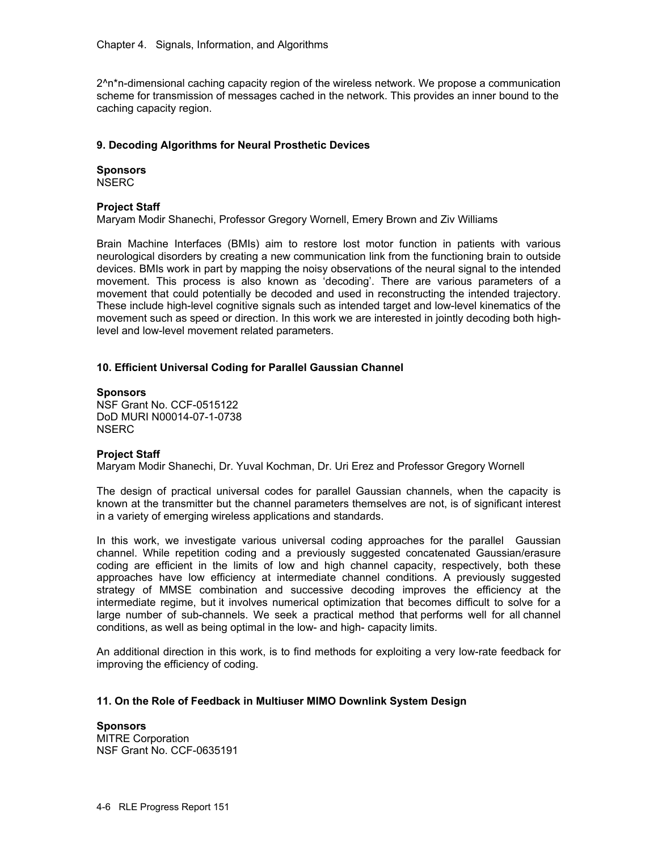2<sup>^</sup>n\*n-dimensional caching capacity region of the wireless network. We propose a communication scheme for transmission of messages cached in the network. This provides an inner bound to the caching capacity region.

## **9. Decoding Algorithms for Neural Prosthetic Devices**

# **Sponsors**

NSERC

## **Project Staff**

Maryam Modir Shanechi, Professor Gregory Wornell, Emery Brown and Ziv Williams

Brain Machine Interfaces (BMIs) aim to restore lost motor function in patients with various neurological disorders by creating a new communication link from the functioning brain to outside devices. BMIs work in part by mapping the noisy observations of the neural signal to the intended movement. This process is also known as 'decoding'. There are various parameters of a movement that could potentially be decoded and used in reconstructing the intended trajectory. These include high-level cognitive signals such as intended target and low-level kinematics of the movement such as speed or direction. In this work we are interested in jointly decoding both highlevel and low-level movement related parameters.

## **10. Efficient Universal Coding for Parallel Gaussian Channel**

## **Sponsors**

NSF Grant No. CCF-0515122 DoD MURI N00014-07-1-0738 **NSERC** 

## **Project Staff**

Maryam Modir Shanechi, Dr. Yuval Kochman, Dr. Uri Erez and Professor Gregory Wornell

The design of practical universal codes for parallel Gaussian channels, when the capacity is known at the transmitter but the channel parameters themselves are not, is of significant interest in a variety of emerging wireless applications and standards.

In this work, we investigate various universal coding approaches for the parallel Gaussian channel. While repetition coding and a previously suggested concatenated Gaussian/erasure coding are efficient in the limits of low and high channel capacity, respectively, both these approaches have low efficiency at intermediate channel conditions. A previously suggested strategy of MMSE combination and successive decoding improves the efficiency at the intermediate regime, but it involves numerical optimization that becomes difficult to solve for a large number of sub-channels. We seek a practical method that performs well for all channel conditions, as well as being optimal in the low- and high- capacity limits.

An additional direction in this work, is to find methods for exploiting a very low-rate feedback for improving the efficiency of coding.

## **11. On the Role of Feedback in Multiuser MIMO Downlink System Design**

**Sponsors**  MITRE Corporation NSF Grant No. CCF-0635191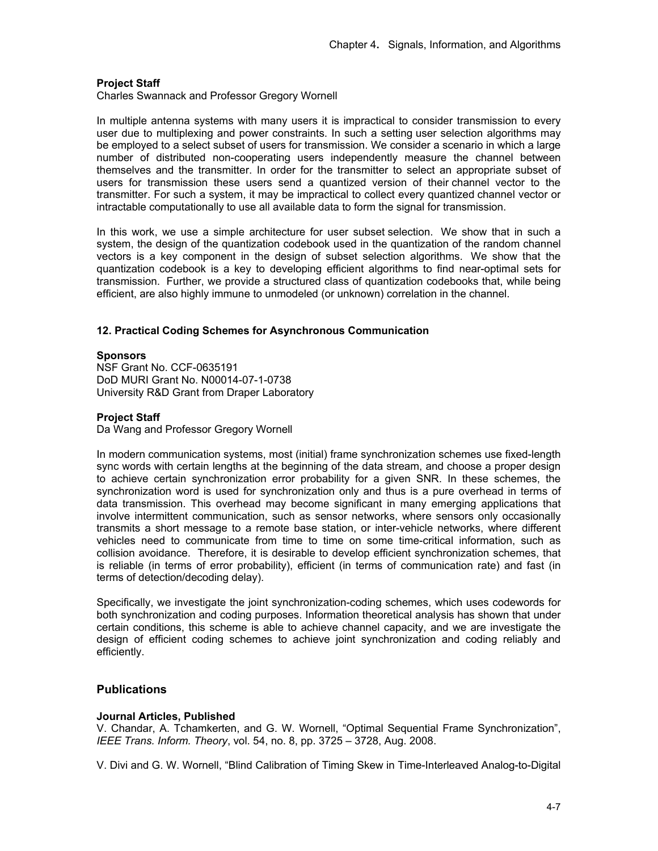## **Project Staff**

Charles Swannack and Professor Gregory Wornell

In multiple antenna systems with many users it is impractical to consider transmission to every user due to multiplexing and power constraints. In such a setting user selection algorithms may be employed to a select subset of users for transmission. We consider a scenario in which a large number of distributed non-cooperating users independently measure the channel between themselves and the transmitter. In order for the transmitter to select an appropriate subset of users for transmission these users send a quantized version of their channel vector to the transmitter. For such a system, it may be impractical to collect every quantized channel vector or intractable computationally to use all available data to form the signal for transmission.

In this work, we use a simple architecture for user subset selection. We show that in such a system, the design of the quantization codebook used in the quantization of the random channel vectors is a key component in the design of subset selection algorithms. We show that the quantization codebook is a key to developing efficient algorithms to find near-optimal sets for transmission. Further, we provide a structured class of quantization codebooks that, while being efficient, are also highly immune to unmodeled (or unknown) correlation in the channel.

## **12. Practical Coding Schemes for Asynchronous Communication**

## **Sponsors**

NSF Grant No. CCF-0635191 DoD MURI Grant No. N00014-07-1-0738 University R&D Grant from Draper Laboratory

## **Project Staff**

Da Wang and Professor Gregory Wornell

In modern communication systems, most (initial) frame synchronization schemes use fixed-length sync words with certain lengths at the beginning of the data stream, and choose a proper design to achieve certain synchronization error probability for a given SNR. In these schemes, the synchronization word is used for synchronization only and thus is a pure overhead in terms of data transmission. This overhead may become significant in many emerging applications that involve intermittent communication, such as sensor networks, where sensors only occasionally transmits a short message to a remote base station, or inter-vehicle networks, where different vehicles need to communicate from time to time on some time-critical information, such as collision avoidance. Therefore, it is desirable to develop efficient synchronization schemes, that is reliable (in terms of error probability), efficient (in terms of communication rate) and fast (in terms of detection/decoding delay).

Specifically, we investigate the joint synchronization-coding schemes, which uses codewords for both synchronization and coding purposes. Information theoretical analysis has shown that under certain conditions, this scheme is able to achieve channel capacity, and we are investigate the design of efficient coding schemes to achieve joint synchronization and coding reliably and efficiently.

## **Publications**

## **Journal Articles, Published**

V. Chandar, A. Tchamkerten, and G. W. Wornell, "Optimal Sequential Frame Synchronization", *IEEE Trans. Inform. Theory*, vol. 54, no. 8, pp. 3725 – 3728, Aug. 2008.

V. Divi and G. W. Wornell, "Blind Calibration of Timing Skew in Time-Interleaved Analog-to-Digital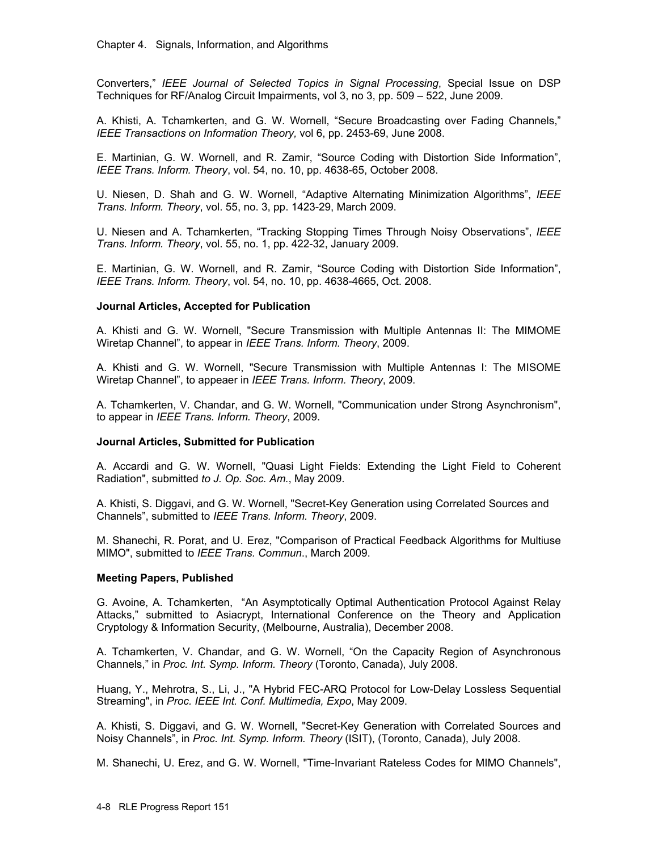Converters," *IEEE Journal of Selected Topics in Signal Processing*, Special Issue on DSP Techniques for RF/Analog Circuit Impairments, vol 3, no 3, pp. 509 – 522, June 2009.

A. Khisti, A. Tchamkerten, and G. W. Wornell, "Secure Broadcasting over Fading Channels," *IEEE Transactions on Information Theory,* vol 6, pp. 2453-69, June 2008.

E. Martinian, G. W. Wornell, and R. Zamir, "Source Coding with Distortion Side Information", *IEEE Trans. Inform. Theory*, vol. 54, no. 10, pp. 4638-65, October 2008.

U. Niesen, D. Shah and G. W. Wornell, "Adaptive Alternating Minimization Algorithms", *IEEE Trans. Inform. Theory*, vol. 55, no. 3, pp. 1423-29, March 2009.

U. Niesen and A. Tchamkerten, "Tracking Stopping Times Through Noisy Observations", *IEEE Trans. Inform. Theory*, vol. 55, no. 1, pp. 422-32, January 2009.

E. Martinian, G. W. Wornell, and R. Zamir, "Source Coding with Distortion Side Information", *IEEE Trans. Inform. Theory*, vol. 54, no. 10, pp. 4638-4665, Oct. 2008.

#### **Journal Articles, Accepted for Publication**

A. Khisti and G. W. Wornell, "Secure Transmission with Multiple Antennas II: The MIMOME Wiretap Channel", to appear in *IEEE Trans. Inform. Theory*, 2009.

A. Khisti and G. W. Wornell, "Secure Transmission with Multiple Antennas I: The MISOME Wiretap Channel", to appeaer in *IEEE Trans. Inform. Theory*, 2009.

A. Tchamkerten, V. Chandar, and G. W. Wornell, "Communication under Strong Asynchronism", to appear in *IEEE Trans. Inform. Theory*, 2009.

## **Journal Articles, Submitted for Publication**

A. Accardi and G. W. Wornell, "Quasi Light Fields: Extending the Light Field to Coherent Radiation", submitted *to J. Op. Soc. Am.*, May 2009.

A. Khisti, S. Diggavi, and G. W. Wornell, "Secret-Key Generation using Correlated Sources and Channels", submitted to *IEEE Trans. Inform. Theory*, 2009.

M. Shanechi, R. Porat, and U. Erez, "Comparison of Practical Feedback Algorithms for Multiuse MIMO", submitted to *IEEE Trans. Commun*., March 2009.

#### **Meeting Papers, Published**

G. Avoine, A. Tchamkerten, "An Asymptotically Optimal Authentication Protocol Against Relay Attacks," submitted to Asiacrypt, International Conference on the Theory and Application Cryptology & Information Security, (Melbourne, Australia), December 2008.

A. Tchamkerten, V. Chandar, and G. W. Wornell, "On the Capacity Region of Asynchronous Channels," in *Proc. Int. Symp. Inform. Theory* (Toronto, Canada), July 2008.

Huang, Y., Mehrotra, S., Li, J., "A Hybrid FEC-ARQ Protocol for Low-Delay Lossless Sequential Streaming", in *Proc. IEEE Int. Conf. Multimedia, Expo*, May 2009.

A. Khisti, S. Diggavi, and G. W. Wornell, "Secret-Key Generation with Correlated Sources and Noisy Channels", in *Proc. Int. Symp. Inform. Theory* (ISIT), (Toronto, Canada), July 2008.

M. Shanechi, U. Erez, and G. W. Wornell, "Time-Invariant Rateless Codes for MIMO Channels",